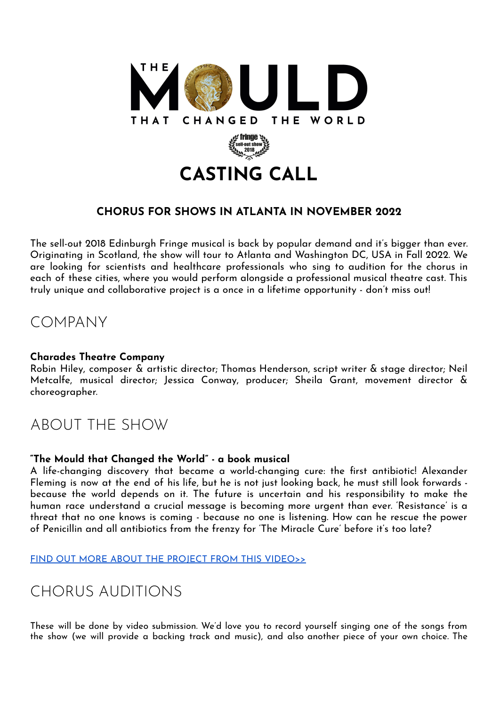

### **CHORUS FOR SHOWS IN ATLANTA IN NOVEMBER 2022**

The sell-out 2018 Edinburgh Fringe musical is back by popular demand and it's bigger than ever. Originating in Scotland, the show will tour to Atlanta and Washington DC, USA in Fall 2022. We are looking for scientists and healthcare professionals who sing to audition for the chorus in each of these cities, where you would perform alongside a professional musical theatre cast. This truly unique and collaborative project is a once in a lifetime opportunity - don't miss out!

### COMPANY

#### **Charades Theatre Company**

Robin Hiley, composer & artistic director; Thomas Henderson, script writer & stage director; Neil Metcalfe, musical director; Jessica Conway, producer; Sheila Grant, movement director & choreographer.

## ABOUT THE SHOW

#### **"The Mould that Changed the World" - a book musical**

A life-changing discovery that became a world-changing cure: the first antibiotic! Alexander Fleming is now at the end of his life, but he is not just looking back, he must still look forwards because the world depends on it. The future is uncertain and his responsibility to make the human race understand a crucial message is becoming more urgent than ever. 'Resistance' is a threat that no one knows is coming - because no one is listening. How can he rescue the power of Penicillin and all antibiotics from the frenzy for 'The Miracle Cure' before it's too late?

FIND OUT MORE ABOUT THE PROJECT FROM THIS [VIDEO>>](https://vimeo.com/684803928)

## CHORUS AUDITIONS

These will be done by video submission. We'd love you to record yourself singing one of the songs from the show (we will provide a backing track and music), and also another piece of your own choice. The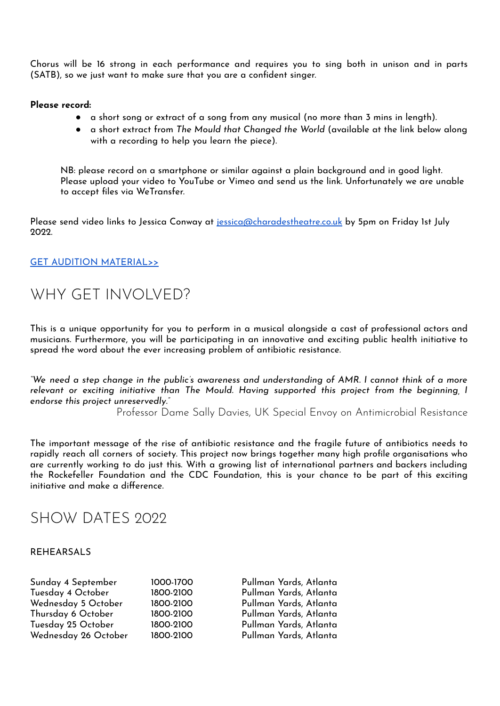Chorus will be 16 strong in each performance and requires you to sing both in unison and in parts (SATB), so we just want to make sure that you are a confident singer.

#### **Please record:**

- a short song or extract of a song from any musical (no more than 3 mins in length).
- a short extract from *The Mould that Changed the World* (available at the link below along with a recording to help you learn the piece).

NB: please record on a smartphone or similar against a plain background and in good light. Please upload your video to YouTube or Vimeo and send us the link. Unfortunately we are unable to accept files via WeTransfer.

Please send video links to Jessica Conway at [jessica@charadestheatre.co.uk](mailto:jessica@charadestheatre.co.uk) by 5pm on Friday 1st July 2022.

#### GET AUDITION [MATERIAL>>](https://drive.google.com/drive/folders/16izUkGhHGL558_5bpttRPAZWO0JLVpD7?usp=sharing)

### WHY GET INVOLVED?

This is a unique opportunity for you to perform in a musical alongside a cast of professional actors and musicians. Furthermore, you will be participating in an innovative and exciting public health initiative to spread the word about the ever increasing problem of antibiotic resistance.

"We need a step change in the public's awareness and understanding of AMR. I cannot think of a more *relevant or exciting initiative than The Mould. Having supported this project from the beginning, I endorse this project unreservedly."*

Professor Dame Sally Davies, UK Special Envoy on Antimicrobial Resistance

The important message of the rise of antibiotic resistance and the fragile future of antibiotics needs to rapidly reach all corners of society. This project now brings together many high profile organisations who are currently working to do just this. With a growing list of international partners and backers including the Rockefeller Foundation and the CDC Foundation, this is your chance to be part of this exciting initiative and make a difference.

### SHOW DATES 2022

#### REHEARSALS

| Sunday 4 September   | 1000-1700 | Pullman Yards, Atlanta |
|----------------------|-----------|------------------------|
| Tuesday 4 October    | 1800-2100 | Pullman Yards, Atlanta |
| Wednesday 5 October  | 1800-2100 | Pullman Yards, Atlanta |
| Thursday 6 October   | 1800-2100 | Pullman Yards, Atlanta |
| Tuesday 25 October   | 1800-2100 | Pullman Yards, Atlanta |
| Wednesday 26 October | 1800-2100 | Pullman Yards, Atlanta |